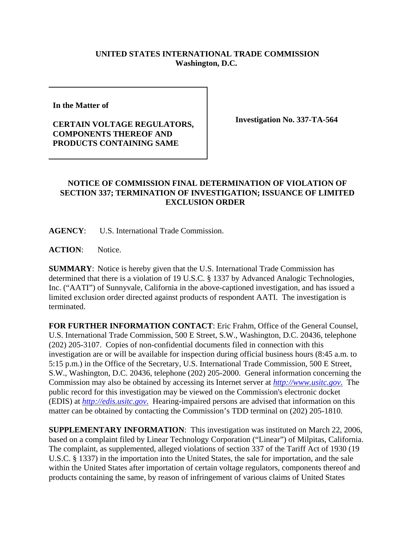## **UNITED STATES INTERNATIONAL TRADE COMMISSION Washington, D.C.**

**In the Matter of** 

## **CERTAIN VOLTAGE REGULATORS, COMPONENTS THEREOF AND PRODUCTS CONTAINING SAME**

**Investigation No. 337-TA-564**

## **NOTICE OF COMMISSION FINAL DETERMINATION OF VIOLATION OF SECTION 337; TERMINATION OF INVESTIGATION; ISSUANCE OF LIMITED EXCLUSION ORDER**

**AGENCY**: U.S. International Trade Commission.

**ACTION**: Notice.

**SUMMARY**: Notice is hereby given that the U.S. International Trade Commission has determined that there is a violation of 19 U.S.C. § 1337 by Advanced Analogic Technologies, Inc. ("AATI") of Sunnyvale, California in the above-captioned investigation, and has issued a limited exclusion order directed against products of respondent AATI. The investigation is terminated.

**FOR FURTHER INFORMATION CONTACT**: Eric Frahm, Office of the General Counsel, U.S. International Trade Commission, 500 E Street, S.W., Washington, D.C. 20436, telephone (202) 205-3107. Copies of non-confidential documents filed in connection with this investigation are or will be available for inspection during official business hours (8:45 a.m. to 5:15 p.m.) in the Office of the Secretary, U.S. International Trade Commission, 500 E Street, S.W., Washington, D.C. 20436, telephone (202) 205-2000. General information concerning the Commission may also be obtained by accessing its Internet server at *http://www.usitc.gov*. The public record for this investigation may be viewed on the Commission's electronic docket (EDIS) at *http://edis.usitc.gov*. Hearing-impaired persons are advised that information on this matter can be obtained by contacting the Commission's TDD terminal on (202) 205-1810.

**SUPPLEMENTARY INFORMATION**: This investigation was instituted on March 22, 2006, based on a complaint filed by Linear Technology Corporation ("Linear") of Milpitas, California. The complaint, as supplemented, alleged violations of section 337 of the Tariff Act of 1930 (19 U.S.C. § 1337) in the importation into the United States, the sale for importation, and the sale within the United States after importation of certain voltage regulators, components thereof and products containing the same, by reason of infringement of various claims of United States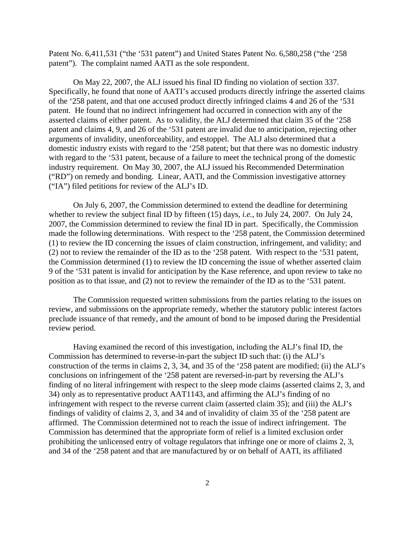Patent No. 6,411,531 ("the '531 patent") and United States Patent No. 6,580,258 ("the '258 patent"). The complaint named AATI as the sole respondent.

On May 22, 2007, the ALJ issued his final ID finding no violation of section 337. Specifically, he found that none of AATI's accused products directly infringe the asserted claims of the '258 patent, and that one accused product directly infringed claims 4 and 26 of the '531 patent. He found that no indirect infringement had occurred in connection with any of the asserted claims of either patent. As to validity, the ALJ determined that claim 35 of the '258 patent and claims 4, 9, and 26 of the '531 patent are invalid due to anticipation, rejecting other arguments of invalidity, unenforceability, and estoppel. The ALJ also determined that a domestic industry exists with regard to the '258 patent; but that there was no domestic industry with regard to the '531 patent, because of a failure to meet the technical prong of the domestic industry requirement. On May 30, 2007, the ALJ issued his Recommended Determination ("RD") on remedy and bonding. Linear, AATI, and the Commission investigative attorney ("IA") filed petitions for review of the ALJ's ID.

On July 6, 2007, the Commission determined to extend the deadline for determining whether to review the subject final ID by fifteen (15) days, *i.e.*, to July 24, 2007. On July 24, 2007, the Commission determined to review the final ID in part. Specifically, the Commission made the following determinations. With respect to the '258 patent, the Commission determined (1) to review the ID concerning the issues of claim construction, infringement, and validity; and (2) not to review the remainder of the ID as to the '258 patent. With respect to the '531 patent, the Commission determined (1) to review the ID concerning the issue of whether asserted claim 9 of the '531 patent is invalid for anticipation by the Kase reference, and upon review to take no position as to that issue, and (2) not to review the remainder of the ID as to the '531 patent.

The Commission requested written submissions from the parties relating to the issues on review, and submissions on the appropriate remedy, whether the statutory public interest factors preclude issuance of that remedy, and the amount of bond to be imposed during the Presidential review period.

Having examined the record of this investigation, including the ALJ's final ID, the Commission has determined to reverse-in-part the subject ID such that: (i) the ALJ's construction of the terms in claims 2, 3, 34, and 35 of the '258 patent are modified; (ii) the ALJ's conclusions on infringement of the '258 patent are reversed-in-part by reversing the ALJ's finding of no literal infringement with respect to the sleep mode claims (asserted claims 2, 3, and 34) only as to representative product AAT1143, and affirming the ALJ's finding of no infringement with respect to the reverse current claim (asserted claim 35); and (iii) the ALJ's findings of validity of claims 2, 3, and 34 and of invalidity of claim 35 of the '258 patent are affirmed. The Commission determined not to reach the issue of indirect infringement. The Commission has determined that the appropriate form of relief is a limited exclusion order prohibiting the unlicensed entry of voltage regulators that infringe one or more of claims 2, 3, and 34 of the '258 patent and that are manufactured by or on behalf of AATI, its affiliated